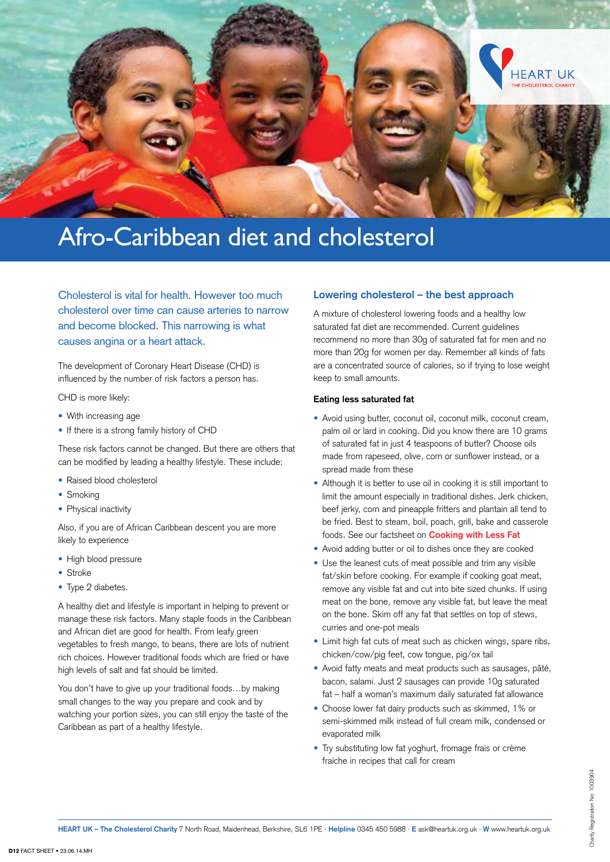

# Afro-Caribbean diet and cholesterol

Cholesterol is vital for health. However too much cholesterol over time can cause arteries to narrow and become blocked. This narrowing is what causes angina or a heart attack.

The development of Coronary Heart Disease (CHD) is influenced by the number of risk factors a person has.

CHD is more likely:

- **•** With increasing age
- **•** If there is a strong family history of CHD

These risk factors cannot be changed. But there are others that can be modified by leading a healthy lifestyle. These include:

- **•** Raised blood cholesterol
- **•** Smoking
- **•** Physical inactivity

Also, if you are of African Caribbean descent you are more likely to experience

- **•** High blood pressure
- **•** Stroke
- **•** Type 2 diabetes.

A healthy diet and lifestyle is important in helping to prevent or manage these risk factors. Many staple foods in the Caribbean and African diet are good for health. From leafy green vegetables to fresh mango, to beans, there are lots of nutrient rich choices. However traditional foods which are fried or have high levels of salt and fat should be limited.

You don't have to give up your traditional foods…by making small changes to the way you prepare and cook and by watching your portion sizes, you can still enjoy the taste of the Caribbean as part of a healthy lifestyle.

# **Lowering cholesterol – the best approach**

A mixture of cholesterol lowering foods and a healthy low saturated fat diet are recommended. Current guidelines recommend no more than 30g of saturated fat for men and no more than 20g for women per day. Remember all kinds of fats are a concentrated source of calories, so if trying to lose weight keep to small amounts.

# **Eating less saturated fat**

- **•** Avoid using butter, coconut oil, coconut milk, coconut cream, palm oil or lard in cooking. Did you know there are 10 grams of saturated fat in just 4 teaspoons of butter? Choose oils made from rapeseed, olive, corn or sunflower instead, or a spread made from these
- **•** Although it is better to use oil in cooking it is still important to limit the amount especially in traditional dishes. Jerk chicken, beef jerky, corn and pineapple fritters and plantain all tend to be fried. Best to steam, boil, poach, grill, bake and casserole foods. See our factsheet on **Cooking with Less Fat**
- **•** Avoid adding butter or oil to dishes once they are cooked
- **•** Use the leanest cuts of meat possible and trim any visible fat/skin before cooking. For example if cooking goat meat, remove any visible fat and cut into bite sized chunks. If using meat on the bone, remove any visible fat, but leave the meat on the bone. Skim off any fat that settles on top of stews, curries and one-pot meals
- **•** Limit high fat cuts of meat such as chicken wings, spare ribs, chicken/cow/pig feet, cow tongue, pig/ox tail
- **•** Avoid fatty meats and meat products such as sausages, pâté, bacon, salami. Just 2 sausages can provide 10g saturated fat – half a woman's maximum daily saturated fat allowance
- **•** Choose lower fat dairy products such as skimmed, 1% or semi-skimmed milk instead of full cream milk, condensed or evaporated milk
- **•** Try substituting low fat yoghurt, fromage frais or crème fraiche in recipes that call for cream